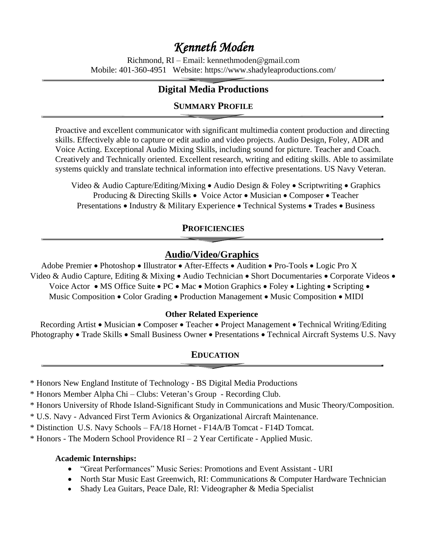# *Kenneth Moden*

Richmond, RI – Email: kennethmoden@gmail.com Mobile: 401-360-4951 Website: https://www.shadyleaproductions.com/

# **Digital Media Productions**

# **SUMMARY PROFILE**

Proactive and excellent communicator with significant multimedia content production and directing skills. Effectively able to capture or edit audio and video projects. Audio Design, Foley, ADR and Voice Acting. Exceptional Audio Mixing Skills, including sound for picture. Teacher and Coach. Creatively and Technically oriented. Excellent research, writing and editing skills. Able to assimilate systems quickly and translate technical information into effective presentations. US Navy Veteran.

Video & Audio Capture/Editing/Mixing • Audio Design & Foley • Scriptwriting • Graphics Producing & Directing Skills • Voice Actor • Musician • Composer • Teacher Presentations • Industry & Military Experience • Technical Systems • Trades • Business

#### **PROFICIENCIES**

# **Audio/Video/Graphics**

Adobe Premier • Photoshop • Illustrator • After-Effects • Audition • Pro-Tools • Logic Pro X Video & Audio Capture, Editing & Mixing • Audio Technician • Short Documentaries • Corporate Videos • Voice Actor • MS Office Suite • PC • Mac • Motion Graphics • Foley • Lighting • Scripting • Music Composition • Color Grading • Production Management • Music Composition • MIDI

#### **Other Related Experience**

Recording Artist • Musician • Composer • Teacher • Project Management • Technical Writing/Editing Photography • Trade Skills • Small Business Owner • Presentations • Technical Aircraft Systems U.S. Navy

### **EDUCATION**

\* Honors New England Institute of Technology - BS Digital Media Productions

\* Honors Member Alpha Chi – Clubs: Veteran's Group - Recording Club.

\* Honors University of Rhode Island-Significant Study in Communications and Music Theory/Composition.

\* U.S. Navy - Advanced First Term Avionics & Organizational Aircraft Maintenance.

\* Distinction U.S. Navy Schools – FA/18 Hornet - F14A/B Tomcat - F14D Tomcat.

\* Honors - The Modern School Providence RI – 2 Year Certificate - Applied Music.

#### **Academic Internships:**

- "Great Performances" Music Series: Promotions and Event Assistant URI
- North Star Music East Greenwich, RI: Communications & Computer Hardware Technician
- Shady Lea Guitars, Peace Dale, RI: Videographer & Media Specialist